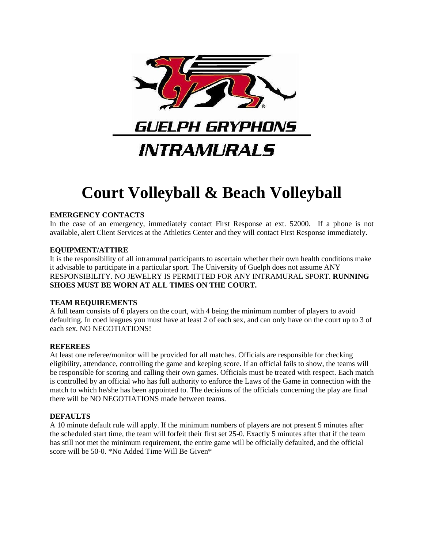

# **Court Volleyball & Beach Volleyball**

## **EMERGENCY CONTACTS**

In the case of an emergency, immediately contact First Response at ext. 52000. If a phone is not available, alert Client Services at the Athletics Center and they will contact First Response immediately.

## **EQUIPMENT/ATTIRE**

It is the responsibility of all intramural participants to ascertain whether their own health conditions make it advisable to participate in a particular sport. The University of Guelph does not assume ANY RESPONSIBILITY. NO JEWELRY IS PERMITTED FOR ANY INTRAMURAL SPORT. **RUNNING SHOES MUST BE WORN AT ALL TIMES ON THE COURT.**

## **TEAM REQUIREMENTS**

A full team consists of 6 players on the court, with 4 being the minimum number of players to avoid defaulting. In coed leagues you must have at least 2 of each sex, and can only have on the court up to 3 of each sex. NO NEGOTIATIONS!

## **REFEREES**

At least one referee/monitor will be provided for all matches. Officials are responsible for checking eligibility, attendance, controlling the game and keeping score. If an official fails to show, the teams will be responsible for scoring and calling their own games. Officials must be treated with respect. Each match is controlled by an official who has full authority to enforce the Laws of the Game in connection with the match to which he/she has been appointed to. The decisions of the officials concerning the play are final there will be NO NEGOTIATIONS made between teams.

## **DEFAULTS**

A 10 minute default rule will apply. If the minimum numbers of players are not present 5 minutes after the scheduled start time, the team will forfeit their first set 25-0. Exactly 5 minutes after that if the team has still not met the minimum requirement, the entire game will be officially defaulted, and the official score will be 50-0. \*No Added Time Will Be Given\*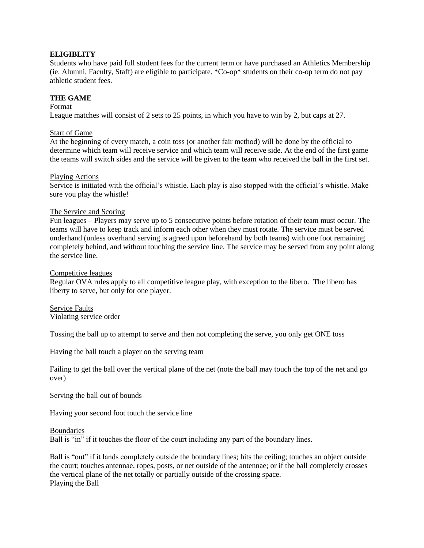## **ELIGIBLITY**

Students who have paid full student fees for the current term or have purchased an Athletics Membership (ie. Alumni, Faculty, Staff) are eligible to participate. \*Co-op\* students on their co-op term do not pay athletic student fees.

## **THE GAME**

#### Format

League matches will consist of 2 sets to 25 points, in which you have to win by 2, but caps at 27.

## Start of Game

At the beginning of every match, a coin toss (or another fair method) will be done by the official to determine which team will receive service and which team will receive side. At the end of the first game the teams will switch sides and the service will be given to the team who received the ball in the first set.

#### Playing Actions

Service is initiated with the official's whistle. Each play is also stopped with the official's whistle. Make sure you play the whistle!

## The Service and Scoring

Fun leagues – Players may serve up to 5 consecutive points before rotation of their team must occur. The teams will have to keep track and inform each other when they must rotate. The service must be served underhand (unless overhand serving is agreed upon beforehand by both teams) with one foot remaining completely behind, and without touching the service line. The service may be served from any point along the service line.

#### Competitive leagues

Regular OVA rules apply to all competitive league play, with exception to the libero. The libero has liberty to serve, but only for one player.

Service Faults Violating service order

Tossing the ball up to attempt to serve and then not completing the serve, you only get ONE toss

Having the ball touch a player on the serving team

Failing to get the ball over the vertical plane of the net (note the ball may touch the top of the net and go over)

Serving the ball out of bounds

Having your second foot touch the service line

#### Boundaries

Ball is "in" if it touches the floor of the court including any part of the boundary lines.

Ball is "out" if it lands completely outside the boundary lines; hits the ceiling; touches an object outside the court; touches antennae, ropes, posts, or net outside of the antennae; or if the ball completely crosses the vertical plane of the net totally or partially outside of the crossing space. Playing the Ball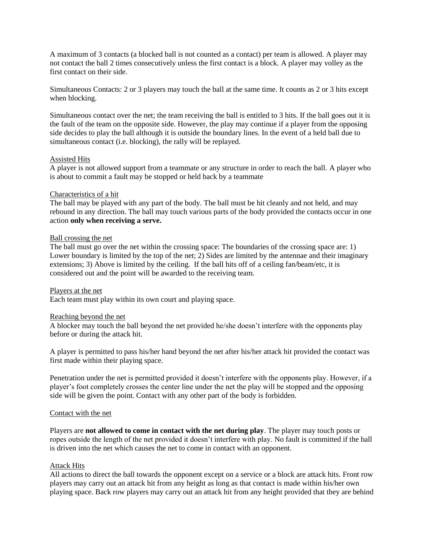A maximum of 3 contacts (a blocked ball is not counted as a contact) per team is allowed. A player may not contact the ball 2 times consecutively unless the first contact is a block. A player may volley as the first contact on their side.

Simultaneous Contacts: 2 or 3 players may touch the ball at the same time. It counts as 2 or 3 hits except when blocking.

Simultaneous contact over the net; the team receiving the ball is entitled to 3 hits. If the ball goes out it is the fault of the team on the opposite side. However, the play may continue if a player from the opposing side decides to play the ball although it is outside the boundary lines. In the event of a held ball due to simultaneous contact (i.e. blocking), the rally will be replayed.

## Assisted Hits

A player is not allowed support from a teammate or any structure in order to reach the ball. A player who is about to commit a fault may be stopped or held back by a teammate

## Characteristics of a hit

The ball may be played with any part of the body. The ball must be hit cleanly and not held, and may rebound in any direction. The ball may touch various parts of the body provided the contacts occur in one action **only when receiving a serve.**

## Ball crossing the net

The ball must go over the net within the crossing space: The boundaries of the crossing space are: 1) Lower boundary is limited by the top of the net; 2) Sides are limited by the antennae and their imaginary extensions; 3) Above is limited by the ceiling. If the ball hits off of a ceiling fan/beam/etc, it is considered out and the point will be awarded to the receiving team.

#### Players at the net

Each team must play within its own court and playing space.

#### Reaching beyond the net

A blocker may touch the ball beyond the net provided he/she doesn't interfere with the opponents play before or during the attack hit.

A player is permitted to pass his/her hand beyond the net after his/her attack hit provided the contact was first made within their playing space.

Penetration under the net is permitted provided it doesn't interfere with the opponents play. However, if a player's foot completely crosses the center line under the net the play will be stopped and the opposing side will be given the point. Contact with any other part of the body is forbidden.

#### Contact with the net

Players are **not allowed to come in contact with the net during play**. The player may touch posts or ropes outside the length of the net provided it doesn't interfere with play. No fault is committed if the ball is driven into the net which causes the net to come in contact with an opponent.

## Attack Hits

All actions to direct the ball towards the opponent except on a service or a block are attack hits. Front row players may carry out an attack hit from any height as long as that contact is made within his/her own playing space. Back row players may carry out an attack hit from any height provided that they are behind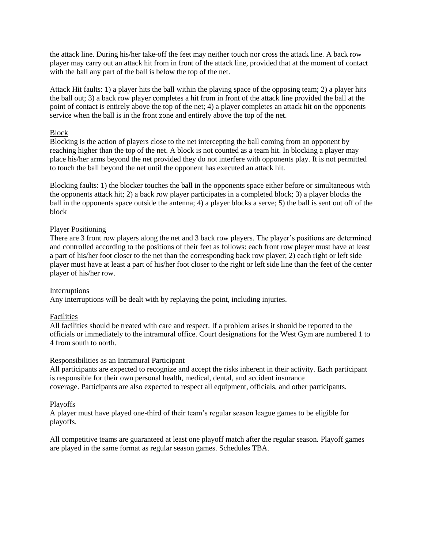the attack line. During his/her take-off the feet may neither touch nor cross the attack line. A back row player may carry out an attack hit from in front of the attack line, provided that at the moment of contact with the ball any part of the ball is below the top of the net.

Attack Hit faults: 1) a player hits the ball within the playing space of the opposing team; 2) a player hits the ball out; 3) a back row player completes a hit from in front of the attack line provided the ball at the point of contact is entirely above the top of the net; 4) a player completes an attack hit on the opponents service when the ball is in the front zone and entirely above the top of the net.

## Block

Blocking is the action of players close to the net intercepting the ball coming from an opponent by reaching higher than the top of the net. A block is not counted as a team hit. In blocking a player may place his/her arms beyond the net provided they do not interfere with opponents play. It is not permitted to touch the ball beyond the net until the opponent has executed an attack hit.

Blocking faults: 1) the blocker touches the ball in the opponents space either before or simultaneous with the opponents attack hit; 2) a back row player participates in a completed block; 3) a player blocks the ball in the opponents space outside the antenna; 4) a player blocks a serve; 5) the ball is sent out off of the block

## Player Positioning

There are 3 front row players along the net and 3 back row players. The player's positions are determined and controlled according to the positions of their feet as follows: each front row player must have at least a part of his/her foot closer to the net than the corresponding back row player; 2) each right or left side player must have at least a part of his/her foot closer to the right or left side line than the feet of the center player of his/her row.

## Interruptions

Any interruptions will be dealt with by replaying the point, including injuries.

## Facilities

All facilities should be treated with care and respect. If a problem arises it should be reported to the officials or immediately to the intramural office. Court designations for the West Gym are numbered 1 to 4 from south to north.

## Responsibilities as an Intramural Participant

All participants are expected to recognize and accept the risks inherent in their activity. Each participant is responsible for their own personal health, medical, dental, and accident insurance coverage. Participants are also expected to respect all equipment, officials, and other participants.

## Playoffs

A player must have played one-third of their team's regular season league games to be eligible for playoffs.

All competitive teams are guaranteed at least one playoff match after the regular season. Playoff games are played in the same format as regular season games. Schedules TBA.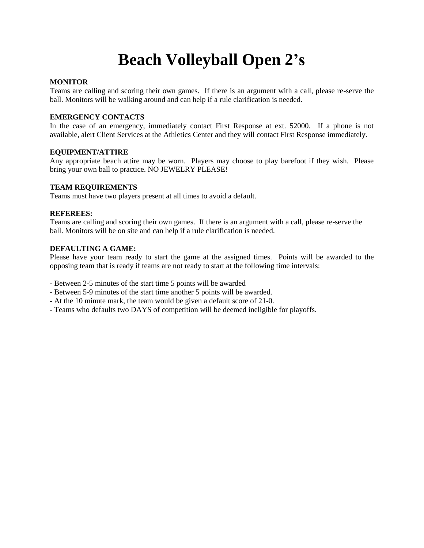## **Beach Volleyball Open 2's**

## **MONITOR**

Teams are calling and scoring their own games. If there is an argument with a call, please re-serve the ball. Monitors will be walking around and can help if a rule clarification is needed.

## **EMERGENCY CONTACTS**

In the case of an emergency, immediately contact First Response at ext. 52000. If a phone is not available, alert Client Services at the Athletics Center and they will contact First Response immediately.

## **EQUIPMENT/ATTIRE**

Any appropriate beach attire may be worn. Players may choose to play barefoot if they wish. Please bring your own ball to practice. NO JEWELRY PLEASE!

## **TEAM REQUIREMENTS**

Teams must have two players present at all times to avoid a default.

## **REFEREES:**

Teams are calling and scoring their own games. If there is an argument with a call, please re-serve the ball. Monitors will be on site and can help if a rule clarification is needed.

#### **DEFAULTING A GAME:**

Please have your team ready to start the game at the assigned times. Points will be awarded to the opposing team that is ready if teams are not ready to start at the following time intervals:

- Between 2-5 minutes of the start time 5 points will be awarded
- Between 5-9 minutes of the start time another 5 points will be awarded.
- At the 10 minute mark, the team would be given a default score of 21-0.
- Teams who defaults two DAYS of competition will be deemed ineligible for playoffs.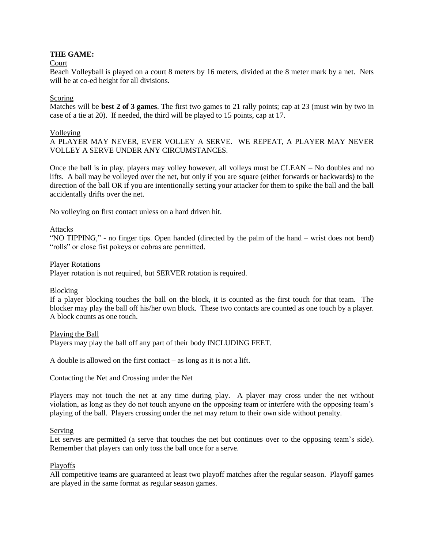## **THE GAME:**

#### Court

Beach Volleyball is played on a court 8 meters by 16 meters, divided at the 8 meter mark by a net. Nets will be at co-ed height for all divisions.

## Scoring

Matches will be **best 2 of 3 games**. The first two games to 21 rally points; cap at 23 (must win by two in case of a tie at 20). If needed, the third will be played to 15 points, cap at 17.

#### Volleying

A PLAYER MAY NEVER, EVER VOLLEY A SERVE. WE REPEAT, A PLAYER MAY NEVER VOLLEY A SERVE UNDER ANY CIRCUMSTANCES.

Once the ball is in play, players may volley however, all volleys must be CLEAN – No doubles and no lifts. A ball may be volleyed over the net, but only if you are square (either forwards or backwards) to the direction of the ball OR if you are intentionally setting your attacker for them to spike the ball and the ball accidentally drifts over the net.

No volleying on first contact unless on a hard driven hit.

## Attacks

"NO TIPPING," - no finger tips. Open handed (directed by the palm of the hand – wrist does not bend) "rolls" or close fist pokeys or cobras are permitted.

#### Player Rotations

Player rotation is not required, but SERVER rotation is required.

#### Blocking

If a player blocking touches the ball on the block, it is counted as the first touch for that team. The blocker may play the ball off his/her own block. These two contacts are counted as one touch by a player. A block counts as one touch.

#### Playing the Ball

Players may play the ball off any part of their body INCLUDING FEET.

A double is allowed on the first contact – as long as it is not a lift.

Contacting the Net and Crossing under the Net

Players may not touch the net at any time during play. A player may cross under the net without violation, as long as they do not touch anyone on the opposing team or interfere with the opposing team's playing of the ball. Players crossing under the net may return to their own side without penalty.

#### Serving

Let serves are permitted (a serve that touches the net but continues over to the opposing team's side). Remember that players can only toss the ball once for a serve.

#### Playoffs

All competitive teams are guaranteed at least two playoff matches after the regular season. Playoff games are played in the same format as regular season games.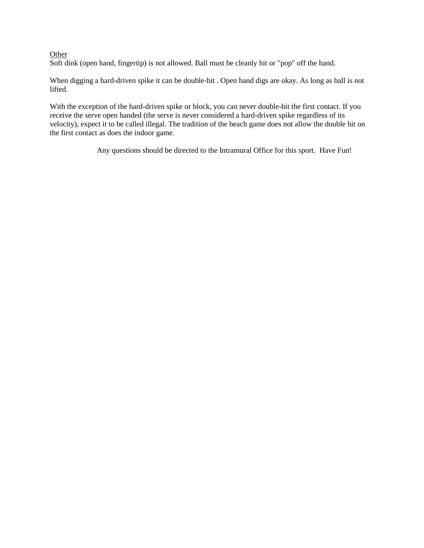## **Other**

Soft dink (open hand, fingertip) is not allowed. Ball must be cleanly hit or "pop" off the hand.

When digging a hard-driven spike it can be double-hit . Open hand digs are okay. As long as ball is not lifted.

With the exception of the hard-driven spike or block, you can never double-hit the first contact. If you receive the serve open handed (the serve is never considered a hard-driven spike regardless of its velocity), expect it to be called illegal. The tradition of the beach game does not allow the double hit on the first contact as does the indoor game.

Any questions should be directed to the Intramural Office for this sport. Have Fun!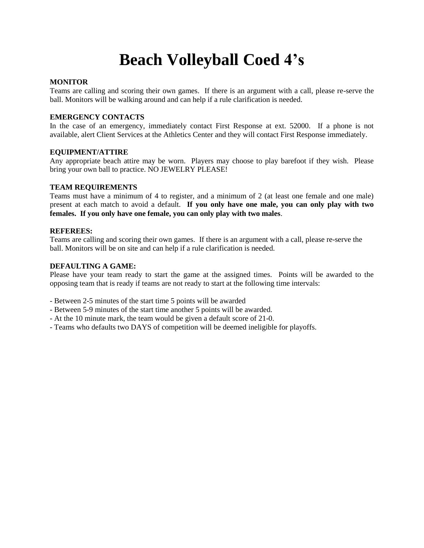## **Beach Volleyball Coed 4's**

## **MONITOR**

Teams are calling and scoring their own games. If there is an argument with a call, please re-serve the ball. Monitors will be walking around and can help if a rule clarification is needed.

## **EMERGENCY CONTACTS**

In the case of an emergency, immediately contact First Response at ext. 52000. If a phone is not available, alert Client Services at the Athletics Center and they will contact First Response immediately.

## **EQUIPMENT/ATTIRE**

Any appropriate beach attire may be worn. Players may choose to play barefoot if they wish. Please bring your own ball to practice. NO JEWELRY PLEASE!

#### **TEAM REQUIREMENTS**

Teams must have a minimum of 4 to register, and a minimum of 2 (at least one female and one male) present at each match to avoid a default. **If you only have one male, you can only play with two females. If you only have one female, you can only play with two males**.

#### **REFEREES:**

Teams are calling and scoring their own games. If there is an argument with a call, please re-serve the ball. Monitors will be on site and can help if a rule clarification is needed.

## **DEFAULTING A GAME:**

Please have your team ready to start the game at the assigned times. Points will be awarded to the opposing team that is ready if teams are not ready to start at the following time intervals:

- Between 2-5 minutes of the start time 5 points will be awarded

- Between 5-9 minutes of the start time another 5 points will be awarded.
- At the 10 minute mark, the team would be given a default score of 21-0.
- Teams who defaults two DAYS of competition will be deemed ineligible for playoffs.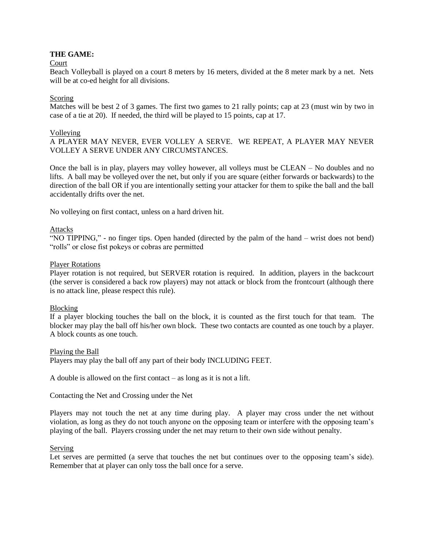## **THE GAME:**

#### Court

Beach Volleyball is played on a court 8 meters by 16 meters, divided at the 8 meter mark by a net. Nets will be at co-ed height for all divisions.

#### Scoring

Matches will be best 2 of 3 games. The first two games to 21 rally points; cap at 23 (must win by two in case of a tie at 20). If needed, the third will be played to 15 points, cap at 17.

#### Volleying

A PLAYER MAY NEVER, EVER VOLLEY A SERVE. WE REPEAT, A PLAYER MAY NEVER VOLLEY A SERVE UNDER ANY CIRCUMSTANCES.

Once the ball is in play, players may volley however, all volleys must be CLEAN – No doubles and no lifts. A ball may be volleyed over the net, but only if you are square (either forwards or backwards) to the direction of the ball OR if you are intentionally setting your attacker for them to spike the ball and the ball accidentally drifts over the net.

No volleying on first contact, unless on a hard driven hit.

#### Attacks

"NO TIPPING," - no finger tips. Open handed (directed by the palm of the hand – wrist does not bend) "rolls" or close fist pokeys or cobras are permitted

#### Player Rotations

Player rotation is not required, but SERVER rotation is required. In addition, players in the backcourt (the server is considered a back row players) may not attack or block from the frontcourt (although there is no attack line, please respect this rule).

#### Blocking

If a player blocking touches the ball on the block, it is counted as the first touch for that team. The blocker may play the ball off his/her own block. These two contacts are counted as one touch by a player. A block counts as one touch.

#### Playing the Ball

Players may play the ball off any part of their body INCLUDING FEET.

A double is allowed on the first contact – as long as it is not a lift.

Contacting the Net and Crossing under the Net

Players may not touch the net at any time during play. A player may cross under the net without violation, as long as they do not touch anyone on the opposing team or interfere with the opposing team's playing of the ball. Players crossing under the net may return to their own side without penalty.

## Serving

Let serves are permitted (a serve that touches the net but continues over to the opposing team's side). Remember that at player can only toss the ball once for a serve.